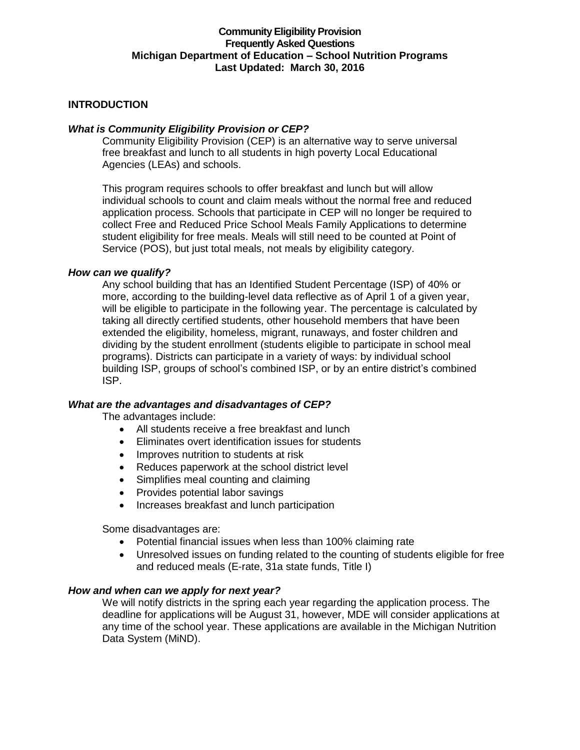# **Community Eligibility Provision Frequently Asked Questions Michigan Department of Education – School Nutrition Programs Last Updated: March 30, 2016**

# **INTRODUCTION**

## *What is Community Eligibility Provision or CEP?*

Community Eligibility Provision (CEP) is an alternative way to serve universal free breakfast and lunch to all students in high poverty Local Educational Agencies (LEAs) and schools.

This program requires schools to offer breakfast and lunch but will allow individual schools to count and claim meals without the normal free and reduced application process. Schools that participate in CEP will no longer be required to collect Free and Reduced Price School Meals Family Applications to determine student eligibility for free meals. Meals will still need to be counted at Point of Service (POS), but just total meals, not meals by eligibility category.

#### *How can we qualify?*

Any school building that has an Identified Student Percentage (ISP) of 40% or more, according to the building-level data reflective as of April 1 of a given year, will be eligible to participate in the following year. The percentage is calculated by taking all directly certified students, other household members that have been extended the eligibility, homeless, migrant, runaways, and foster children and dividing by the student enrollment (students eligible to participate in school meal programs). Districts can participate in a variety of ways: by individual school building ISP, groups of school's combined ISP, or by an entire district's combined ISP.

#### *What are the advantages and disadvantages of CEP?*

The advantages include:

- All students receive a free breakfast and lunch
- Eliminates overt identification issues for students
- Improves nutrition to students at risk
- Reduces paperwork at the school district level
- Simplifies meal counting and claiming
- Provides potential labor savings
- Increases breakfast and lunch participation

Some disadvantages are:

- Potential financial issues when less than 100% claiming rate
- Unresolved issues on funding related to the counting of students eligible for free and reduced meals (E-rate, 31a state funds, Title I)

#### *How and when can we apply for next year?*

We will notify districts in the spring each year regarding the application process. The deadline for applications will be August 31, however, MDE will consider applications at any time of the school year. These applications are available in the Michigan Nutrition Data System (MiND).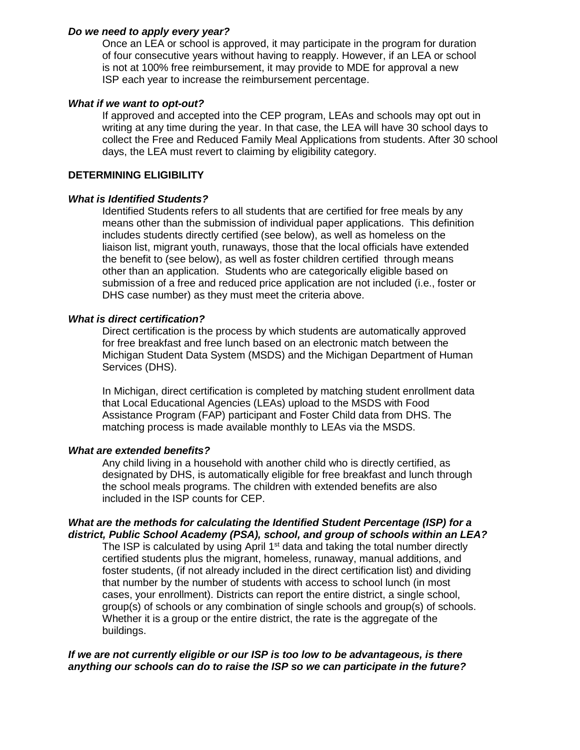## *Do we need to apply every year?*

Once an LEA or school is approved, it may participate in the program for duration of four consecutive years without having to reapply. However, if an LEA or school is not at 100% free reimbursement, it may provide to MDE for approval a new ISP each year to increase the reimbursement percentage.

#### *What if we want to opt-out?*

If approved and accepted into the CEP program, LEAs and schools may opt out in writing at any time during the year. In that case, the LEA will have 30 school days to collect the Free and Reduced Family Meal Applications from students. After 30 school days, the LEA must revert to claiming by eligibility category.

## **DETERMINING ELIGIBILITY**

# *What is Identified Students?*

Identified Students refers to all students that are certified for free meals by any means other than the submission of individual paper applications. This definition includes students directly certified (see below), as well as homeless on the liaison list, migrant youth, runaways, those that the local officials have extended the benefit to (see below), as well as foster children certified through means other than an application. Students who are categorically eligible based on submission of a free and reduced price application are not included (i.e., foster or DHS case number) as they must meet the criteria above.

# *What is direct certification?*

Direct certification is the process by which students are automatically approved for free breakfast and free lunch based on an electronic match between the Michigan Student Data System (MSDS) and the Michigan Department of Human Services (DHS).

In Michigan, direct certification is completed by matching student enrollment data that Local Educational Agencies (LEAs) upload to the MSDS with Food Assistance Program (FAP) participant and Foster Child data from DHS. The matching process is made available monthly to LEAs via the MSDS.

# *What are extended benefits?*

Any child living in a household with another child who is directly certified, as designated by DHS, is automatically eligible for free breakfast and lunch through the school meals programs. The children with extended benefits are also included in the ISP counts for CEP.

#### *What are the methods for calculating the Identified Student Percentage (ISP) for a district, Public School Academy (PSA), school, and group of schools within an LEA?*

The ISP is calculated by using April  $1<sup>st</sup>$  data and taking the total number directly certified students plus the migrant, homeless, runaway, manual additions, and foster students, (if not already included in the direct certification list) and dividing that number by the number of students with access to school lunch (in most cases, your enrollment). Districts can report the entire district, a single school, group(s) of schools or any combination of single schools and group(s) of schools. Whether it is a group or the entire district, the rate is the aggregate of the buildings.

# *If we are not currently eligible or our ISP is too low to be advantageous, is there anything our schools can do to raise the ISP so we can participate in the future?*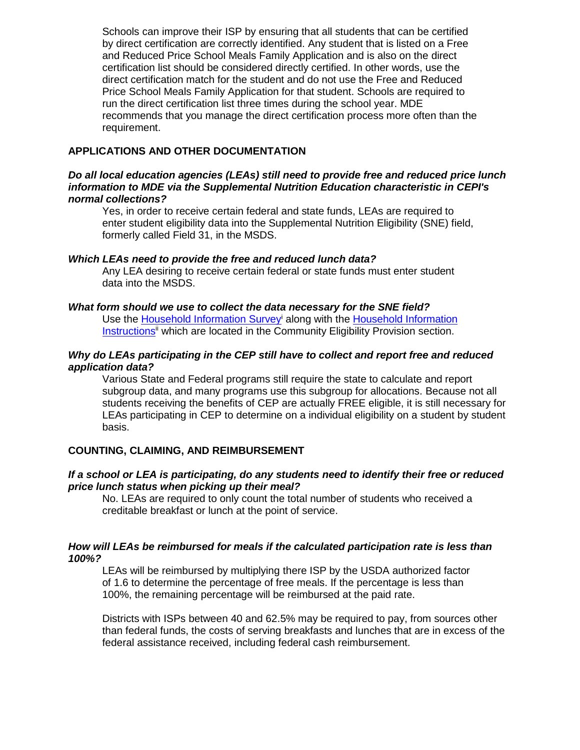Schools can improve their ISP by ensuring that all students that can be certified by direct certification are correctly identified. Any student that is listed on a Free and Reduced Price School Meals Family Application and is also on the direct certification list should be considered directly certified. In other words, use the direct certification match for the student and do not use the Free and Reduced Price School Meals Family Application for that student. Schools are required to run the direct certification list three times during the school year. MDE recommends that you manage the direct certification process more often than the requirement.

# **APPLICATIONS AND OTHER DOCUMENTATION**

### *Do all local education agencies (LEAs) still need to provide free and reduced price lunch information to MDE via the Supplemental Nutrition Education characteristic in CEPI's normal collections?*

Yes, in order to receive certain federal and state funds, LEAs are required to enter student eligibility data into the Supplemental Nutrition Eligibility (SNE) field, formerly called Field 31, in the MSDS.

#### *Which LEAs need to provide the free and reduced lunch data?*

Any LEA desiring to receive certain federal or state funds must enter student data into the MSDS.

#### *What form should we use to collect the data necessary for the SNE field?*

Use the [Household Information Survey](https://www.michigan.gov/documents/cepi/Household_Information_Survey_MDE_OFS_388009_7.pdf)<sup>i</sup> along with the Household Information [Instructions](https://www.michigan.gov/documents/cepi/Household_Information_Survey_Instructions_368945_7.pdf)<sup>ii</sup> which are located in the Community Eligibility Provision section.

### *Why do LEAs participating in the CEP still have to collect and report free and reduced application data?*

Various State and Federal programs still require the state to calculate and report subgroup data, and many programs use this subgroup for allocations. Because not all students receiving the benefits of CEP are actually FREE eligible, it is still necessary for LEAs participating in CEP to determine on a individual eligibility on a student by student basis.

#### **COUNTING, CLAIMING, AND REIMBURSEMENT**

#### *If a school or LEA is participating, do any students need to identify their free or reduced price lunch status when picking up their meal?*

No. LEAs are required to only count the total number of students who received a creditable breakfast or lunch at the point of service.

#### *How will LEAs be reimbursed for meals if the calculated participation rate is less than 100%?*

LEAs will be reimbursed by multiplying there ISP by the USDA authorized factor of 1.6 to determine the percentage of free meals. If the percentage is less than 100%, the remaining percentage will be reimbursed at the paid rate.

Districts with ISPs between 40 and 62.5% may be required to pay, from sources other than federal funds, the costs of serving breakfasts and lunches that are in excess of the federal assistance received, including federal cash reimbursement.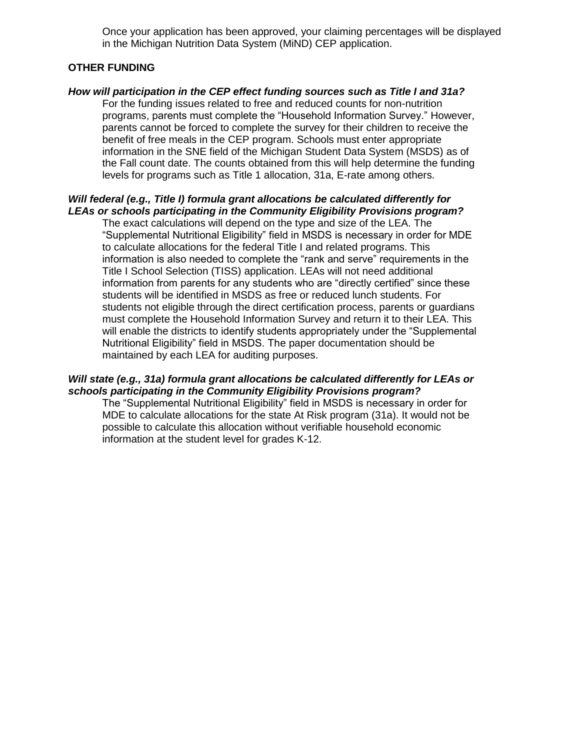Once your application has been approved, your claiming percentages will be displayed in the Michigan Nutrition Data System (MiND) CEP application.

## **OTHER FUNDING**

# *How will participation in the CEP effect funding sources such as Title I and 31a?*

For the funding issues related to free and reduced counts for non-nutrition programs, parents must complete the "Household Information Survey." However, parents cannot be forced to complete the survey for their children to receive the benefit of free meals in the CEP program. Schools must enter appropriate information in the SNE field of the Michigan Student Data System (MSDS) as of the Fall count date. The counts obtained from this will help determine the funding levels for programs such as Title 1 allocation, 31a, E-rate among others.

# *Will federal (e.g., Title I) formula grant allocations be calculated differently for LEAs or schools participating in the Community Eligibility Provisions program?*

The exact calculations will depend on the type and size of the LEA. The "Supplemental Nutritional Eligibility" field in MSDS is necessary in order for MDE to calculate allocations for the federal Title I and related programs. This information is also needed to complete the "rank and serve" requirements in the Title I School Selection (TISS) application. LEAs will not need additional information from parents for any students who are "directly certified" since these students will be identified in MSDS as free or reduced lunch students. For students not eligible through the direct certification process, parents or guardians must complete the Household Information Survey and return it to their LEA. This will enable the districts to identify students appropriately under the "Supplemental Nutritional Eligibility" field in MSDS. The paper documentation should be maintained by each LEA for auditing purposes.

#### *Will state (e.g., 31a) formula grant allocations be calculated differently for LEAs or schools participating in the Community Eligibility Provisions program?*

The "Supplemental Nutritional Eligibility" field in MSDS is necessary in order for MDE to calculate allocations for the state At Risk program (31a). It would not be possible to calculate this allocation without verifiable household economic information at the student level for grades K-12.